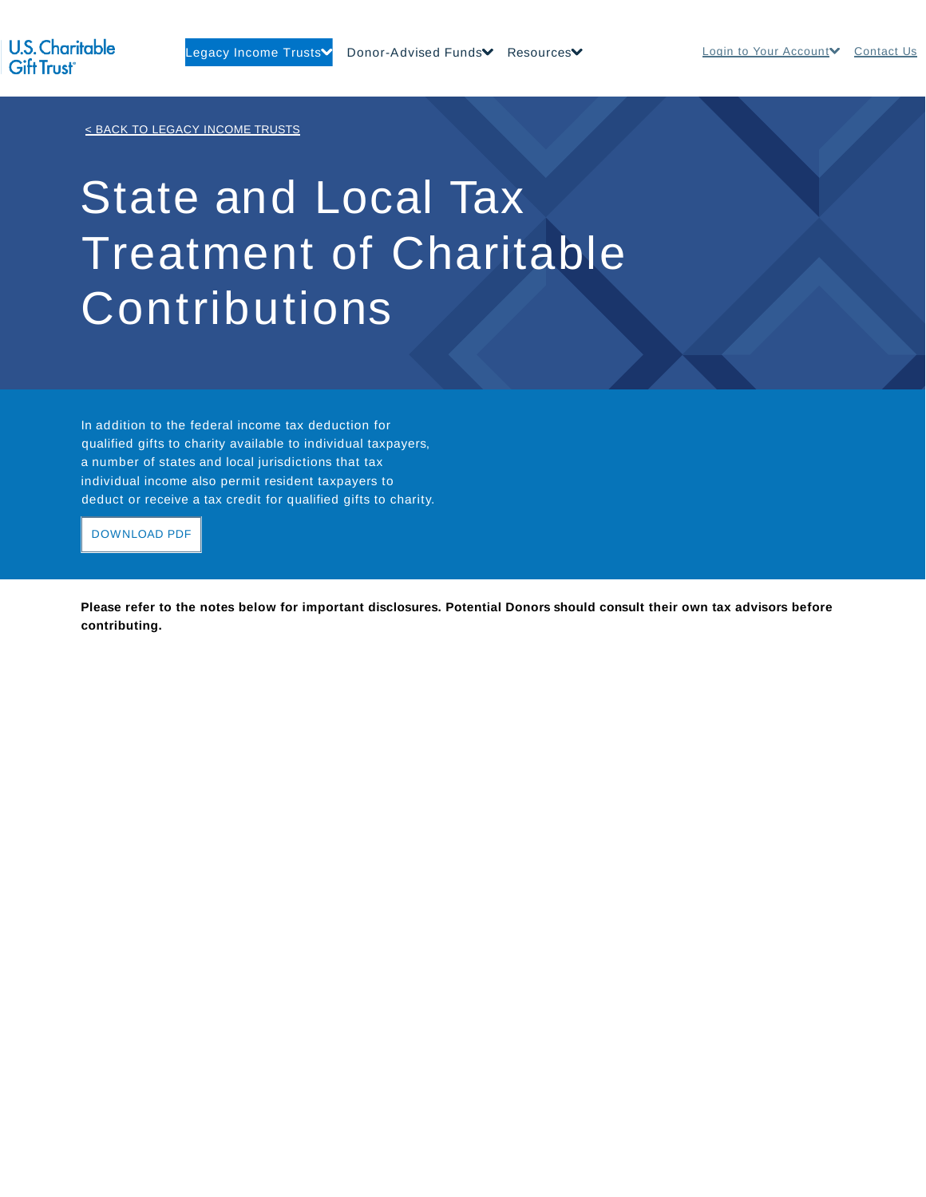< BACK TO LEGACY INCOME TRUSTS

## State and Local Tax Treatment of Charitable **Contributions**

In addition to the federal income tax deduction for qualified gifts to charity available to individual taxpayers, a number of states and local jurisdictions that tax individual income also permit resident taxpayers to deduct or receive a tax credit for qualified gifts to charity.

DOWNLOAD PDF

**Please refer to the notes below for important disclosures. Potential Donors should consult their own tax advisors before contributing.**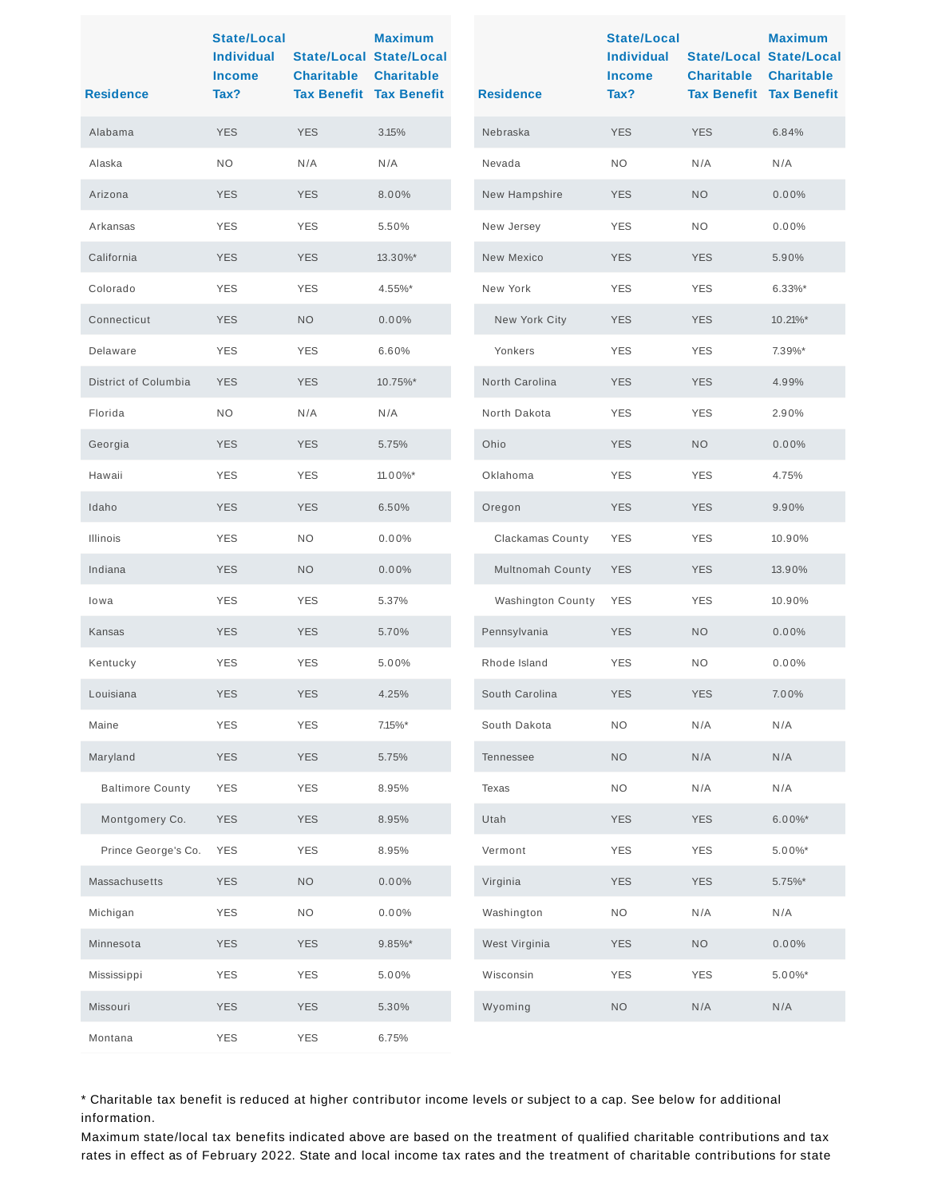| <b>Residence</b>        | <b>State/Local</b><br><b>Individual</b><br><b>Income</b><br>Tax? | <b>Charitable</b> | <b>Maximum</b><br><b>State/Local State/Local</b><br><b>Charitable</b><br><b>Tax Benefit Tax Benefit</b> | <b>Residence</b>         | <b>State/Local</b><br><b>Individual</b><br><b>Income</b><br>Tax? | <b>Charitable</b><br><b>Tax Benefit Tax Benefit</b> | <b>Maximum</b><br><b>State/Local State/Local</b><br><b>Charitable</b> |
|-------------------------|------------------------------------------------------------------|-------------------|---------------------------------------------------------------------------------------------------------|--------------------------|------------------------------------------------------------------|-----------------------------------------------------|-----------------------------------------------------------------------|
| Alabama                 | <b>YES</b>                                                       | <b>YES</b>        | 3.15%                                                                                                   | Nebraska                 | <b>YES</b>                                                       | <b>YES</b>                                          | 6.84%                                                                 |
| Alaska                  | <b>NO</b>                                                        | N/A               | N/A                                                                                                     | Nevada                   | <b>NO</b>                                                        | N/A                                                 | N/A                                                                   |
| Arizona                 | <b>YES</b>                                                       | <b>YES</b>        | 8.00%                                                                                                   | New Hampshire            | <b>YES</b>                                                       | <b>NO</b>                                           | 0.00%                                                                 |
| Arkansas                | <b>YES</b>                                                       | <b>YES</b>        | 5.50%                                                                                                   | New Jersey               | <b>YES</b>                                                       | NO.                                                 | 0.00%                                                                 |
| California              | <b>YES</b>                                                       | <b>YES</b>        | 13.30%*                                                                                                 | New Mexico               | <b>YES</b>                                                       | <b>YES</b>                                          | 5.90%                                                                 |
| Colorado                | <b>YES</b>                                                       | <b>YES</b>        | 4.55%*                                                                                                  | New York                 | <b>YES</b>                                                       | <b>YES</b>                                          | $6.33\%$ *                                                            |
| Connecticut             | <b>YES</b>                                                       | NO.               | 0.00%                                                                                                   | New York City            | <b>YES</b>                                                       | <b>YES</b>                                          | 10.21%*                                                               |
| Delaware                | <b>YES</b>                                                       | <b>YES</b>        | 6.60%                                                                                                   | Yonkers                  | <b>YES</b>                                                       | <b>YES</b>                                          | 7.39%*                                                                |
| District of Columbia    | <b>YES</b>                                                       | <b>YES</b>        | 10.75%*                                                                                                 | North Carolina           | <b>YES</b>                                                       | <b>YES</b>                                          | 4.99%                                                                 |
| Florida                 | <b>NO</b>                                                        | N/A               | N/A                                                                                                     | North Dakota             | <b>YES</b>                                                       | <b>YES</b>                                          | 2.90%                                                                 |
| Georgia                 | <b>YES</b>                                                       | <b>YES</b>        | 5.75%                                                                                                   | Ohio                     | <b>YES</b>                                                       | <b>NO</b>                                           | 0.00%                                                                 |
| Hawaii                  | <b>YES</b>                                                       | <b>YES</b>        | 11.00%*                                                                                                 | Oklahoma                 | <b>YES</b>                                                       | <b>YES</b>                                          | 4.75%                                                                 |
| Idaho                   | <b>YES</b>                                                       | <b>YES</b>        | 6.50%                                                                                                   | Oregon                   | <b>YES</b>                                                       | <b>YES</b>                                          | 9.90%                                                                 |
| Illinois                | <b>YES</b>                                                       | <b>NO</b>         | 0.00%                                                                                                   | Clackamas County         | <b>YES</b>                                                       | <b>YES</b>                                          | 10.90%                                                                |
| Indiana                 | <b>YES</b>                                                       | <b>NO</b>         | 0.00%                                                                                                   | Multnomah County         | <b>YES</b>                                                       | <b>YES</b>                                          | 13.90%                                                                |
| lowa                    | <b>YES</b>                                                       | <b>YES</b>        | 5.37%                                                                                                   | <b>Washington County</b> | <b>YES</b>                                                       | <b>YES</b>                                          | 10.90%                                                                |
| Kansas                  | <b>YES</b>                                                       | <b>YES</b>        | 5.70%                                                                                                   | Pennsylvania             | <b>YES</b>                                                       | <b>NO</b>                                           | 0.00%                                                                 |
| Kentucky                | <b>YES</b>                                                       | <b>YES</b>        | 5.00%                                                                                                   | Rhode Island             | <b>YES</b>                                                       | NO.                                                 | 0.00%                                                                 |
| Louisiana               | <b>YES</b>                                                       | <b>YES</b>        | 4.25%                                                                                                   | South Carolina           | <b>YES</b>                                                       | <b>YES</b>                                          | 7.00%                                                                 |
| Maine                   | <b>YES</b>                                                       | <b>YES</b>        | $7.15\%$ *                                                                                              | South Dakota             | <b>NO</b>                                                        | N/A                                                 | N/A                                                                   |
| Maryland                | <b>YES</b>                                                       | <b>YES</b>        | 5.75%                                                                                                   | Tennessee                | <b>NO</b>                                                        | N/A                                                 | N/A                                                                   |
| <b>Baltimore County</b> | <b>YES</b>                                                       | <b>YES</b>        | 8.95%                                                                                                   | Texas                    | <b>NO</b>                                                        | N/A                                                 | N/A                                                                   |
| Montgomery Co.          | <b>YES</b>                                                       | <b>YES</b>        | 8.95%                                                                                                   | Utah                     | <b>YES</b>                                                       | <b>YES</b>                                          | $6.00\%$ *                                                            |
| Prince George's Co.     | <b>YES</b>                                                       | <b>YES</b>        | 8.95%                                                                                                   | Vermont                  | <b>YES</b>                                                       | <b>YES</b>                                          | 5.00%*                                                                |
| Massachusetts           | <b>YES</b>                                                       | <b>NO</b>         | 0.00%                                                                                                   | Virginia                 | <b>YES</b>                                                       | <b>YES</b>                                          | 5.75%*                                                                |
| Michigan                | <b>YES</b>                                                       | <b>NO</b>         | 0.00%                                                                                                   | Washington               | <b>NO</b>                                                        | N/A                                                 | N/A                                                                   |
| Minnesota               | <b>YES</b>                                                       | <b>YES</b>        | $9.85\%$ *                                                                                              | West Virginia            | <b>YES</b>                                                       | <b>NO</b>                                           | $0.00\%$                                                              |
| Mississippi             | <b>YES</b>                                                       | <b>YES</b>        | 5.00%                                                                                                   | Wisconsin                | <b>YES</b>                                                       | <b>YES</b>                                          | 5.00%*                                                                |
| Missouri                | <b>YES</b>                                                       | <b>YES</b>        | 5.30%                                                                                                   | Wyoming                  | <b>NO</b>                                                        | N/A                                                 | N/A                                                                   |
| Montana                 | <b>YES</b>                                                       | YES               | 6.75%                                                                                                   |                          |                                                                  |                                                     |                                                                       |

\* Charitable tax benefit is reduced at higher contributor income levels or subject to a cap. See below for additional information.

Maximum state/local tax benefits indicated above are based on the treatment of qualified charitable contributions and tax rates in effect as of February 2022. State and local income tax rates and the treatment of charitable contributions for state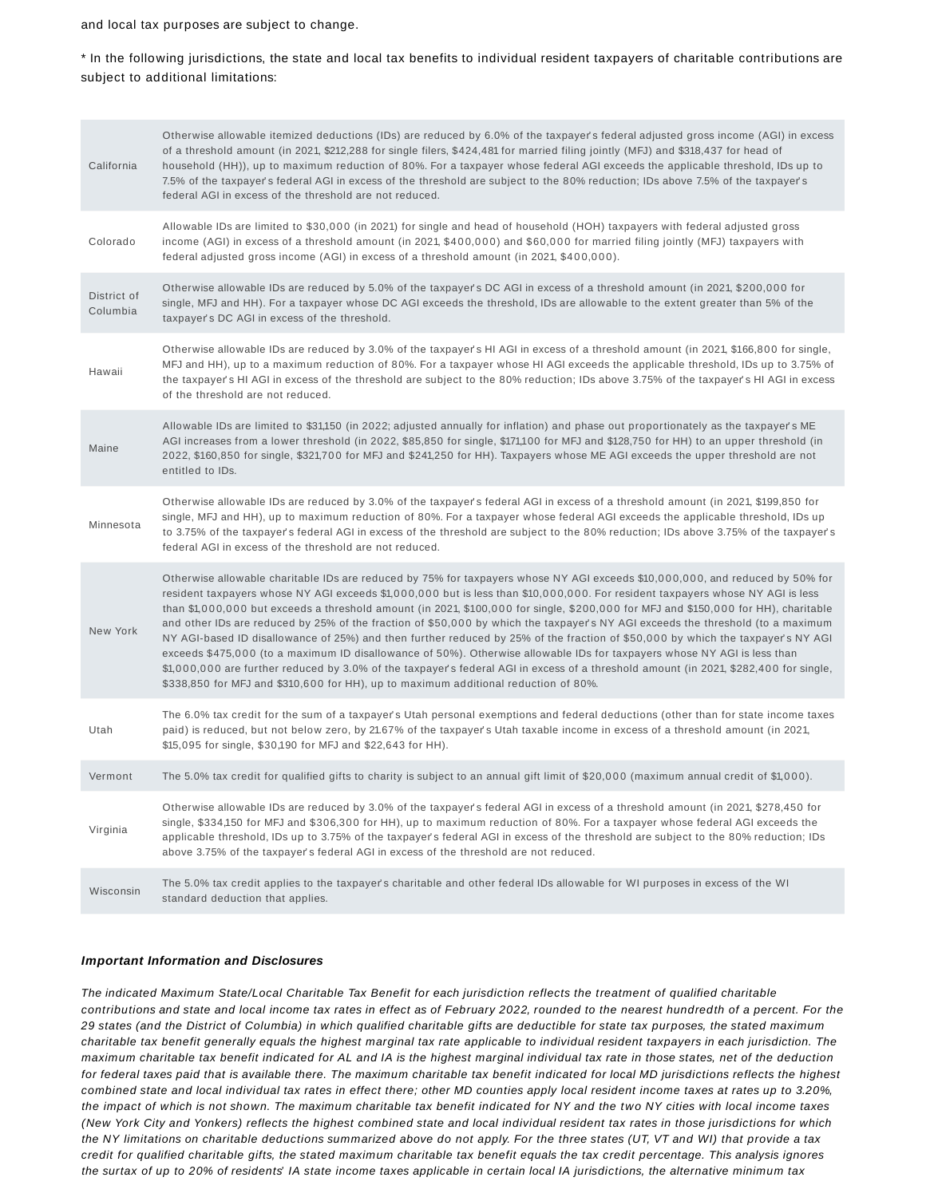and local tax purposes are subject to change.

\* In the following jurisdictions, the state and local tax benefits to individual resident taxpayers of charitable contributions are subject to additional limitations:

| California              | Otherwise allowable itemized deductions (IDs) are reduced by 6.0% of the taxpayer's federal adjusted gross income (AGI) in excess<br>of a threshold amount (in 2021, \$212,288 for single filers, \$424,481 for married filing jointly (MFJ) and \$318,437 for head of<br>household (HH)), up to maximum reduction of 80%. For a taxpayer whose federal AGI exceeds the applicable threshold, IDs up to<br>7.5% of the taxpayer's federal AGI in excess of the threshold are subject to the 80% reduction; IDs above 7.5% of the taxpayer's<br>federal AGI in excess of the threshold are not reduced.                                                                                                                                                                                                                                                                                                                                                                                                                                   |
|-------------------------|------------------------------------------------------------------------------------------------------------------------------------------------------------------------------------------------------------------------------------------------------------------------------------------------------------------------------------------------------------------------------------------------------------------------------------------------------------------------------------------------------------------------------------------------------------------------------------------------------------------------------------------------------------------------------------------------------------------------------------------------------------------------------------------------------------------------------------------------------------------------------------------------------------------------------------------------------------------------------------------------------------------------------------------|
| Colorado                | Allowable IDs are limited to \$30,000 (in 2021) for single and head of household (HOH) taxpayers with federal adjusted gross<br>income (AGI) in excess of a threshold amount (in 2021, \$400,000) and \$60,000 for married filing jointly (MFJ) taxpayers with<br>federal adjusted gross income (AGI) in excess of a threshold amount (in 2021, \$400,000).                                                                                                                                                                                                                                                                                                                                                                                                                                                                                                                                                                                                                                                                              |
| District of<br>Columbia | Otherwise allowable IDs are reduced by 5.0% of the taxpayer's DC AGI in excess of a threshold amount (in 2021, \$200,000 for<br>single, MFJ and HH). For a taxpayer whose DC AGI exceeds the threshold, IDs are allowable to the extent greater than 5% of the<br>taxpayer's DC AGI in excess of the threshold.                                                                                                                                                                                                                                                                                                                                                                                                                                                                                                                                                                                                                                                                                                                          |
| Hawaii                  | Otherwise allowable IDs are reduced by 3.0% of the taxpayer's HI AGI in excess of a threshold amount (in 2021, \$166,800 for single,<br>MFJ and HH), up to a maximum reduction of 80%. For a taxpayer whose HI AGI exceeds the applicable threshold, IDs up to 3.75% of<br>the taxpayer's HI AGI in excess of the threshold are subject to the 80% reduction; IDs above 3.75% of the taxpayer's HI AGI in excess<br>of the threshold are not reduced.                                                                                                                                                                                                                                                                                                                                                                                                                                                                                                                                                                                    |
| Maine                   | Allowable IDs are limited to \$31,150 (in 2022; adjusted annually for inflation) and phase out proportionately as the taxpayer's ME<br>AGI increases from a lower threshold (in 2022, \$85,850 for single, \$171,100 for MFJ and \$128,750 for HH) to an upper threshold (in<br>2022, \$160,850 for single, \$321,700 for MFJ and \$241,250 for HH). Taxpayers whose ME AGI exceeds the upper threshold are not<br>entitled to IDs.                                                                                                                                                                                                                                                                                                                                                                                                                                                                                                                                                                                                      |
| Minnesota               | Otherwise allowable IDs are reduced by 3.0% of the taxpayer's federal AGI in excess of a threshold amount (in 2021, \$199,850 for<br>single, MFJ and HH), up to maximum reduction of 80%. For a taxpayer whose federal AGI exceeds the applicable threshold, IDs up<br>to 3.75% of the taxpayer's federal AGI in excess of the threshold are subject to the 80% reduction; IDs above 3.75% of the taxpayer's<br>federal AGI in excess of the threshold are not reduced.                                                                                                                                                                                                                                                                                                                                                                                                                                                                                                                                                                  |
| New York                | Otherwise allowable charitable IDs are reduced by 75% for taxpayers whose NY AGI exceeds \$10,000,000, and reduced by 50% for<br>resident taxpayers whose NY AGI exceeds \$1,000,000 but is less than \$10,000,000. For resident taxpayers whose NY AGI is less<br>than \$1,000,000 but exceeds a threshold amount (in 2021, \$100,000 for single, \$200,000 for MFJ and \$150,000 for HH), charitable<br>and other IDs are reduced by 25% of the fraction of \$50,000 by which the taxpayer's NY AGI exceeds the threshold (to a maximum<br>NY AGI-based ID disallowance of 25%) and then further reduced by 25% of the fraction of \$50,000 by which the taxpayer's NY AGI<br>exceeds \$475,000 (to a maximum ID disallowance of 50%). Otherwise allowable IDs for taxpayers whose NY AGI is less than<br>\$1,000,000 are further reduced by 3.0% of the taxpayer's federal AGI in excess of a threshold amount (in 2021, \$282,400 for single,<br>\$338,850 for MFJ and \$310,600 for HH), up to maximum additional reduction of 80%. |
| Utah                    | The 6.0% tax credit for the sum of a taxpayer's Utah personal exemptions and federal deductions (other than for state income taxes<br>paid) is reduced, but not below zero, by 21.67% of the taxpayer's Utah taxable income in excess of a threshold amount (in 2021,<br>\$15,095 for single, \$30,190 for MFJ and \$22,643 for HH).                                                                                                                                                                                                                                                                                                                                                                                                                                                                                                                                                                                                                                                                                                     |
| Vermont                 | The 5.0% tax credit for qualified gifts to charity is subject to an annual gift limit of \$20,000 (maximum annual credit of \$1,000).                                                                                                                                                                                                                                                                                                                                                                                                                                                                                                                                                                                                                                                                                                                                                                                                                                                                                                    |
| Virginia                | Otherwise allowable IDs are reduced by 3.0% of the taxpayer's federal AGI in excess of a threshold amount (in 2021, \$278,450 for<br>single, \$334,150 for MFJ and \$306,300 for HH), up to maximum reduction of 80%. For a taxpayer whose federal AGI exceeds the<br>applicable threshold, IDs up to 3.75% of the taxpayer's federal AGI in excess of the threshold are subject to the 80% reduction; IDs<br>above 3.75% of the taxpayer's federal AGI in excess of the threshold are not reduced.                                                                                                                                                                                                                                                                                                                                                                                                                                                                                                                                      |
| Wisconsin               | The 5.0% tax credit applies to the taxpayer's charitable and other federal IDs allowable for WI purposes in excess of the WI<br>standard deduction that applies.                                                                                                                                                                                                                                                                                                                                                                                                                                                                                                                                                                                                                                                                                                                                                                                                                                                                         |

## **Important Information and Disclosures**

The indicated Maximum State/Local Charitable Tax Benefit for each jurisdiction reflects the treatment of qualified charitable contributions and state and local income tax rates in effect as of February 2022, rounded to the nearest hundredth of a percent. For the 29 states (and the District of Columbia) in which qualified charitable gifts are deductible for state tax purposes, the stated maximum charitable tax benefit generally equals the highest marginal tax rate applicable to individual resident taxpayers in each jurisdiction. The maximum charitable tax benefit indicated for AL and IA is the highest marginal individual tax rate in those states, net of the deduction for federal taxes paid that is available there. The maximum charitable tax benefit indicated for local MD jurisdictions reflects the highest combined state and local individual tax rates in effect there; other MD counties apply local resident income taxes at rates up to 3.20%, the impact of which is not shown. The maximum charitable tax benefit indicated for NY and the two NY cities with local income taxes (New York City and Yonkers) reflects the highest combined state and local individual resident tax rates in those jurisdictions for which the NY limitations on charitable deductions summarized above do not apply. For the three states (UT, VT and WI) that provide a tax credit for qualified charitable gifts, the stated maximum charitable tax benefit equals the tax credit percentage. This analysis ignores the surtax of up to 20% of residents' IA state income taxes applicable in certain local IA jurisdictions, the alternative minimum tax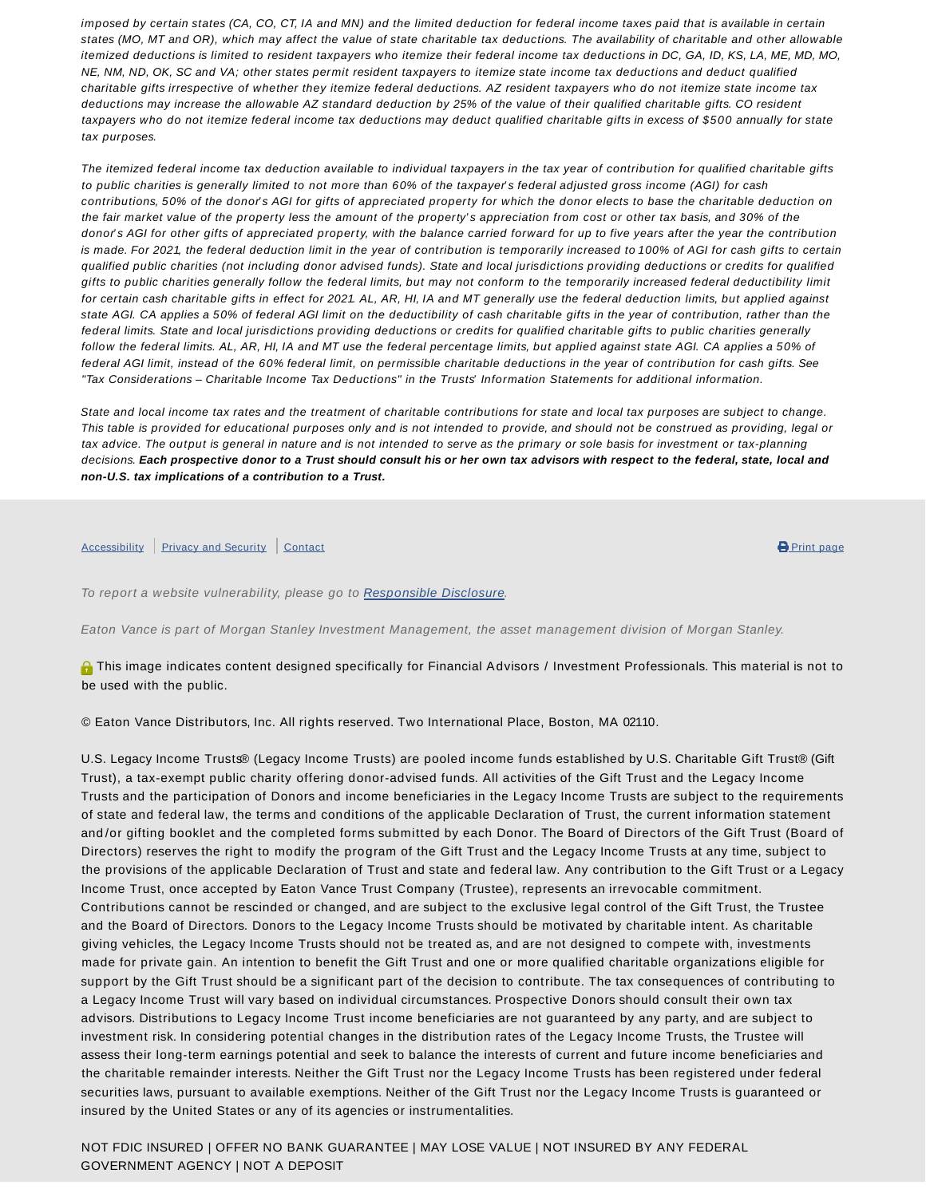imposed by certain states (CA, CO, CT, IA and MN) and the limited deduction for federal income taxes paid that is available in certain states (MO, MT and OR), which may affect the value of state charitable tax deductions. The availability of charitable and other allowable itemized deductions is limited to resident taxpayers who itemize their federal income tax deductions in DC, GA, ID, KS, LA, ME, MD, MO, NE, NM, ND, OK, SC and VA; other states permit resident taxpayers to itemize state income tax deductions and deduct qualified charitable gifts irrespective of whether they itemize federal deductions. AZ resident taxpayers who do not itemize state income tax deductions may increase the allowable AZ standard deduction by 25% of the value of their qualified charitable gifts. CO resident taxpayers who do not itemize federal income tax deductions may deduct qualified charitable gifts in excess of \$500 annually for state tax purposes.

The itemized federal income tax deduction available to individual taxpayers in the tax year of contribution for qualified charitable gifts to public charities is generally limited to not more than 60% of the taxpayer's federal adjusted gross income (AGI) for cash contributions, 50% of the donor's AGI for gifts of appreciated property for which the donor elects to base the charitable deduction on the fair market value of the property less the amount of the property's appreciation from cost or other tax basis, and 30% of the donor's AGI for other gifts of appreciated property, with the balance carried forward for up to five years after the year the contribution is made. For 2021, the federal deduction limit in the year of contribution is temporarily increased to 100% of AGI for cash gifts to certain qualified public charities (not including donor advised funds). State and local jurisdictions providing deductions or credits for qualified gifts to public charities generally follow the federal limits, but may not conform to the temporarily increased federal deductibility limit for certain cash charitable gifts in effect for 2021. AL, AR, HI, IA and MT generally use the federal deduction limits, but applied against state AGI. CA applies a 50% of federal AGI limit on the deductibility of cash charitable gifts in the year of contribution, rather than the federal limits. State and local jurisdictions providing deductions or credits for qualified charitable gifts to public charities generally follow the federal limits. AL, AR, HI, IA and MT use the federal percentage limits, but applied against state AGI. CA applies a 50% of federal AGI limit, instead of the 60% federal limit, on permissible charitable deductions in the year of contribution for cash gifts. See "Tax Considerations – Charitable Income Tax Deductions" in the Trusts' Information Statements for additional information.

State and local income tax rates and the treatment of charitable contributions for state and local tax purposes are subject to change. This table is provided for educational purposes only and is not intended to provide, and should not be construed as providing, legal or tax advice. The output is general in nature and is not intended to serve as the primary or sole basis for investment or tax-planning decisions. **Each prospective donor to a Trust should consult his or her own tax advisors with respect to the federal, state, local and non-U.S. tax implications of a contribution to a Trust.**

## Accessibility Privacy and Security Contact **Contact Contact Contact Contact Contact Contact Contact Contact Contact**

To report a website vulnerability, please go to Responsible Disclosure.

Eaton Vance is part of Morgan Stanley Investment Management, the asset management division of Morgan Stanley.

**A** This image indicates content designed specifically for Financial Advisors / Investment Professionals. This material is not to be used with the public.

© Eaton Vance Distributors, Inc. All rights reserved. Two International Place, Boston, MA 02110.

U.S. Legacy Income Trusts® (Legacy Income Trusts) are pooled income funds established by U.S. Charitable Gift Trust® (Gift Trust), a tax-exempt public charity offering donor-advised funds. All activities of the Gift Trust and the Legacy Income Trusts and the participation of Donors and income beneficiaries in the Legacy Income Trusts are subject to the requirements of state and federal law, the terms and conditions of the applicable Declaration of Trust, the current information statement and /or gifting booklet and the completed forms submitted by each Donor. The Board of Directors of the Gift Trust (Board of Directors) reserves the right to modify the program of the Gift Trust and the Legacy Income Trusts at any time, subject to the provisions of the applicable Declaration of Trust and state and federal law. Any contribution to the Gift Trust or a Legacy Income Trust, once accepted by Eaton Vance Trust Company (Trustee), represents an irrevocable commitment. Contributions cannot be rescinded or changed, and are subject to the exclusive legal control of the Gift Trust, the Trustee and the Board of Directors. Donors to the Legacy Income Trusts should be motivated by charitable intent. As charitable giving vehicles, the Legacy Income Trusts should not be treated as, and are not designed to compete with, investments made for private gain. An intention to benefit the Gift Trust and one or more qualified charitable organizations eligible for support by the Gift Trust should be a significant part of the decision to contribute. The tax consequences of contributing to a Legacy Income Trust will vary based on individual circumstances. Prospective Donors should consult their own tax advisors. Distributions to Legacy Income Trust income beneficiaries are not guaranteed by any party, and are subject to investment risk. In considering potential changes in the distribution rates of the Legacy Income Trusts, the Trustee will assess their long-term earnings potential and seek to balance the interests of current and future income beneficiaries and the charitable remainder interests. Neither the Gift Trust nor the Legacy Income Trusts has been registered under federal securities laws, pursuant to available exemptions. Neither of the Gift Trust nor the Legacy Income Trusts is guaranteed or insured by the United States or any of its agencies or instrumentalities.

NOT FDIC INSURED | OFFER NO BANK GUARANTEE | MAY LOSE VALUE | NOT INSURED BY ANY FEDERAL GOVERNMENT AGENCY | NOT A DEPOSIT